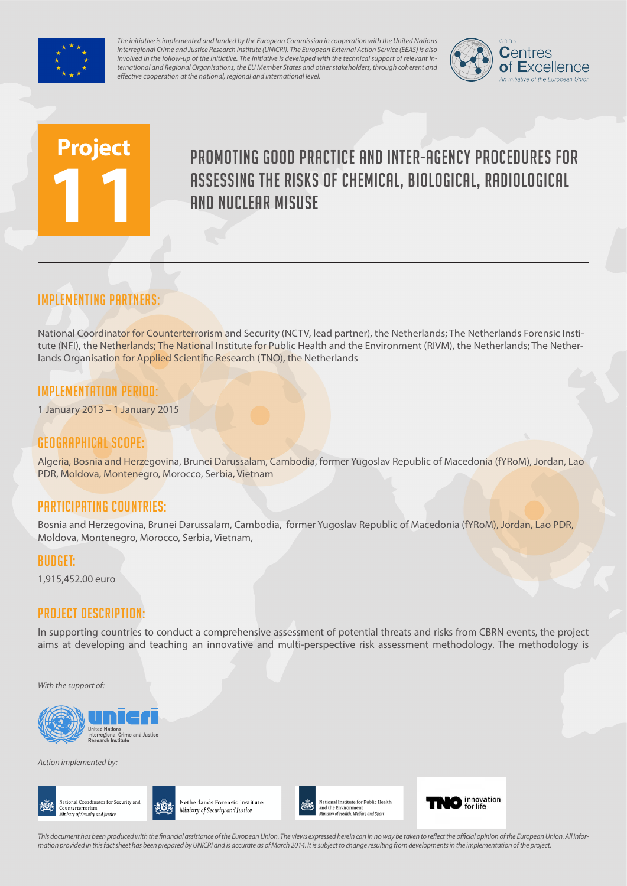

*The initiative is implemented and funded by the European Commission in cooperation with the United Nations Interregional Crime and Justice Research Institute (UNICRI). The European External Action Service (EEAS) is also involved in the follow-up of the initiative. The initiative is developed with the technical support of relevant International and Regional Organisations, the EU Member States and other stakeholders, through coherent and effective cooperation at the national, regional and international level.*



# **Project 11**

# Promoting good practice and inter-agency procedures for assessing the risks of chemical, biological, radiological and nuclear misuse

# Implementing partners:

National Coordinator for Counterterrorism and Security (NCTV, lead partner), the Netherlands; The Netherlands Forensic Institute (NFI), the Netherlands; The National Institute for Public Health and the Environment (RIVM), the Netherlands; The Netherlands Organisation for Applied Scientific Research (TNO), the Netherlands

#### Implementation Period:

1 January 2013 – 1 January 2015

#### Geographical scope:

Algeria, Bosnia and Herzegovina, Brunei Darussalam, Cambodia, former Yugoslav Republic of Macedonia (fYRoM), Jordan, Lao PDR, Moldova, Montenegro, Morocco, Serbia, Vietnam

## Participating countries:

Bosnia and Herzegovina, Brunei Darussalam, Cambodia, former Yugoslav Republic of Macedonia (fYRoM), Jordan, Lao PDR, Moldova, Montenegro, Morocco, Serbia, Vietnam,

#### Budget:

1,915,452.00 euro

## Project Description:

In supporting countries to conduct a comprehensive assessment of potential threats and risks from CBRN events, the project aims at developing and teaching an innovative and multi-perspective risk assessment methodology. The methodology is

*With the support of:*



*Action implemented by:*





Netherlands Forensic Institute Ministry of Security and Justice





*This document has been produced with the financial assistance of the European Union. The views expressed herein can in no way be taken to reflect the official opinion of the European Union. All information provided in this fact sheet has been prepared by UNICRI and is accurate as of March 2014. It is subject to change resulting from developments in the implementation of the project.*